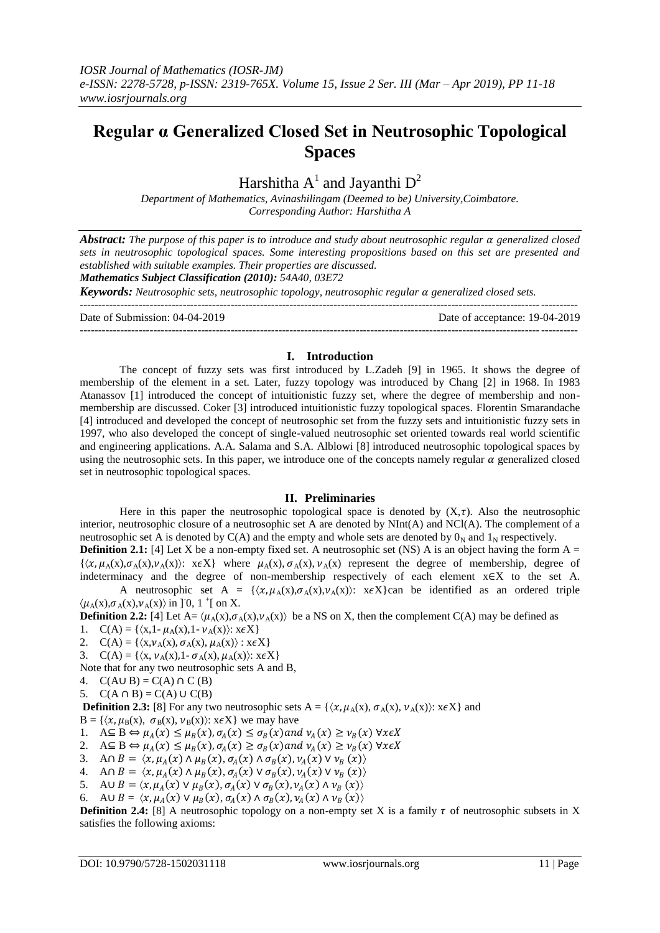# **Regular α Generalized Closed Set in Neutrosophic Topological Spaces**

Harshitha  $A^1$  and Jayanthi  $D^2$ 

*Department of Mathematics, Avinashilingam (Deemed to be) University,Coimbatore. Corresponding Author: Harshitha A* 

Abstract: The purpose of this paper is to introduce and study about neutrosophic regular  $\alpha$  generalized closed *sets in neutrosophic topological spaces. Some interesting propositions based on this set are presented and established with suitable examples. Their properties are discussed.*

*Mathematics Subject Classification (2010): 54A40, 03E72*

*Keywords: Neutrosophic sets, neutrosophic topology, neutrosophic regular generalized closed sets.*

Date of Submission: 04-04-2019 Date of acceptance: 19-04-2019

---------------------------------------------------------------------------------------------------------------------------------------

---------------------------------------------------------------------------------------------------------------------------------------

# **I. Introduction**

The concept of fuzzy sets was first introduced by L.Zadeh [9] in 1965. It shows the degree of membership of the element in a set. Later, fuzzy topology was introduced by Chang [2] in 1968. In 1983 Atanassov [1] introduced the concept of intuitionistic fuzzy set, where the degree of membership and nonmembership are discussed. Coker [3] introduced intuitionistic fuzzy topological spaces. Florentin Smarandache [4] introduced and developed the concept of neutrosophic set from the fuzzy sets and intuitionistic fuzzy sets in 1997, who also developed the concept of single-valued neutrosophic set oriented towards real world scientific and engineering applications. A.A. Salama and S.A. Alblowi [8] introduced neutrosophic topological spaces by using the neutrosophic sets. In this paper, we introduce one of the concepts namely regular  $\alpha$  generalized closed set in neutrosophic topological spaces.

# **II. Preliminaries**

Here in this paper the neutrosophic topological space is denoted by  $(X, \tau)$ . Also the neutrosophic interior, neutrosophic closure of a neutrosophic set A are denoted by NInt(A) and NCl(A). The complement of a neutrosophic set A is denoted by  $C(A)$  and the empty and whole sets are denoted by  $0<sub>N</sub>$  and  $1<sub>N</sub>$  respectively.

**Definition 2.1:** [4] Let X be a non-empty fixed set. A neutrosophic set (NS) A is an object having the form  $A =$  $\{\langle x,\mu_A(x),\sigma_A(x),\nu_A(x)\rangle\colon x\in X\}$  where  $\mu_A(x), \sigma_A(x), \nu_A(x)$  represent the degree of membership, degree of indeterminacy and the degree of non-membership respectively of each element x∈X to the set A. A neutrosophic set A =  $\{\langle x,\mu_A(x),\sigma_A(x),\nu_A(x)\rangle\}$ :  $x \in X\}$ can be identified as an ordered triple

 $\langle \mu_A(x), \sigma_A(x), \nu_A(x) \rangle$  in ]<sup>-</sup>0, 1<sup>+</sup>[ on X. **Definition 2.2:** [4] Let  $A = \langle \mu_A(x), \sigma_A(x), \nu_A(x) \rangle$  be a NS on X, then the complement C(A) may be defined as

- 1.  $C(A) = \{ \langle x, 1 \mu_A(x), 1 \nu_A(x) \rangle : x \in X \}$
- 2.  $C(A) = \{ \langle x, v_A(x), \sigma_A(x), \mu_A(x) \rangle : x \in X \}$
- 3.  $C(A) = \{ \langle x, \nu_A(x), 1 \sigma_A(x), \mu_A(x) \rangle : x \in X \}$

Note that for any two neutrosophic sets A and B,

- 4.  $C(A \cup B) = C(A) \cap C(B)$
- 5.  $C(A \cap B) = C(A) \cup C(B)$

**Definition 2.3:** [8] For any two neutrosophic sets  $A = \{ \langle x, \mu_A(x), \sigma_A(x), \nu_A(x) \rangle : x \in X \}$  and

 $B = \{ \langle x, \mu_B(x), \sigma_B(x), \nu_B(x) \rangle : x \in X \}$  we may have

1.  $A \subseteq B \Leftrightarrow \mu_A(x) \leq \mu_B(x), \sigma_A(x) \leq \sigma_B(x)$  and  $\nu_A(x) \geq \nu_B(x)$   $\forall x \in X$ 

2.  $A \subseteq B \Leftrightarrow \mu_A(x) \le \mu_B(x), \sigma_A(x) \ge \sigma_B(x)$  and  $\nu_A(x) \ge \nu_B(x)$   $\forall x \in X$ 

- 3. A $\cap B = \langle x, \mu_A(x) \land \mu_B(x), \sigma_A(x) \land \sigma_B(x), \nu_A(x) \lor \nu_B(x) \rangle$
- 4. An  $B = \langle x, \mu_A(x) \wedge \mu_B(x), \sigma_A(x) \vee \sigma_B(x), \nu_A(x) \vee \nu_B(x) \rangle$
- 5. AU  $B = \langle x, \mu_A(x) \vee \mu_B(x), \sigma_A(x) \vee \sigma_B(x), \nu_A(x) \wedge \nu_B(x) \rangle$
- 6. AU  $B = \langle x, \mu_A(x) \vee \mu_B(x), \sigma_A(x) \wedge \sigma_B(x), \nu_A(x) \wedge \nu_B(x) \rangle$

**Definition 2.4:** [8] A neutrosophic topology on a non-empty set X is a family  $\tau$  of neutrosophic subsets in X satisfies the following axioms: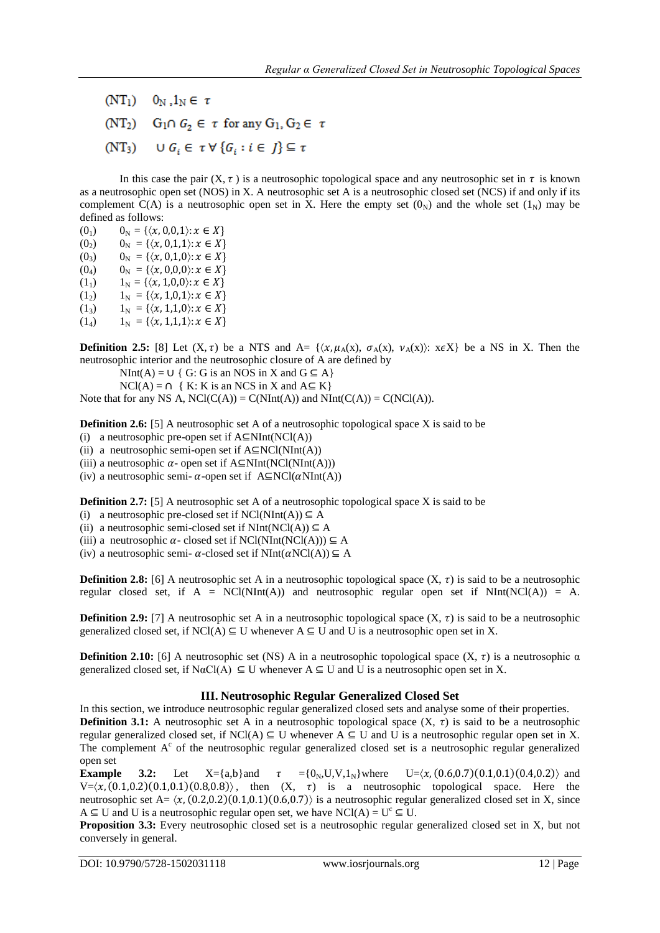- $(NT_1)$   $0_N, 1_N \in \tau$
- (NT<sub>2</sub>)  $G_1 \cap G_2 \in \tau$  for any  $G_1, G_2 \in \tau$
- (NT<sub>3</sub>)  $\cup G_i \in \tau \forall {\{G_i : i \in J\}} \subseteq \tau$

In this case the pair  $(X, \tau)$  is a neutrosophic topological space and any neutrosophic set in  $\tau$  is known as a neutrosophic open set (NOS) in X. A neutrosophic set A is a neutrosophic closed set (NCS) if and only if its complement C(A) is a neutrosophic open set in X. Here the empty set  $(0<sub>N</sub>)$  and the whole set  $(1<sub>N</sub>)$  may be defined as follows:

- (0<sub>1</sub>)  $0_N = \{\langle x, 0, 0, 1 \rangle : x \in X\}$
- $(0_2)$   $0_N = {\langle x, 0,1,1 \rangle : x \in X}$
- (0<sub>3</sub>)  $0_N = \{\langle x, 0,1,0\rangle : x \in X\}$
- (0<sub>4</sub>)  $0_N = {\{\langle x, 0,0,0 \rangle : x \in X\}}$
- (1<sub>1</sub>)  $1_N = \{ \langle x, 1, 0, 0 \rangle : x \in X \}$
- (1<sub>2</sub>)  $1_N = \{\langle x, 1, 0, 1 \rangle : x \in X\}$
- $(1_3)$   $1_N = {\langle x, 1,1,0 \rangle : x \in X}$
- (1<sub>4</sub>)  $1_N = \{ \langle x, 1,1,1 \rangle : x \in X \}$

**Definition 2.5:** [8] Let  $(X, \tau)$  be a NTS and A=  $\{ \langle x, \mu_A(x), \sigma_A(x), \nu_A(x) \rangle : x \in X \}$  be a NS in X. Then the neutrosophic interior and the neutrosophic closure of A are defined by

 $NInt(A) = \bigcup \{ G : G \text{ is an NOS in } X \text{ and } G \subseteq A \}$ 

 $NCI(A) = \bigcap \{ K: K \text{ is an NCS in } X \text{ and } A \subseteq K \}$ 

Note that for any NS A,  $NCl(C(A)) = C(NInt(A))$  and  $NInt(C(A)) = C(NCl(A)).$ 

**Definition 2.6:** [5] A neutrosophic set A of a neutrosophic topological space X is said to be

- (i) a neutrosophic pre-open set if  $A \subseteq NInt(NCl(A))$
- (ii) a neutrosophic semi-open set if  $A \subseteq NCl(NInt(A))$
- (iii) a neutrosophic  $\alpha$  open set if A⊆NInt(NCl(NInt(A)))

(iv) a neutrosophic semi-  $\alpha$ -open set if A⊆NCl( $\alpha$ NInt(A))

**Definition 2.7:** [5] A neutrosophic set A of a neutrosophic topological space X is said to be

- (i) a neutrosophic pre-closed set if  $NCl(NInt(A)) \subseteq A$
- (ii) a neutrosophic semi-closed set if  $NInt(NCl(A)) \subseteq A$

(iii) a neutrosophic  $\alpha$ - closed set if NCl(NInt(NCl(A)))  $\subseteq$  A

(iv) a neutrosophic semi-  $\alpha$ -closed set if NInt( $\alpha$ NCl(A))  $\subseteq$  A

**Definition 2.8:** [6] A neutrosophic set A in a neutrosophic topological space  $(X, \tau)$  is said to be a neutrosophic regular closed set, if  $A = NC(NInt(A))$  and neutrosophic regular open set if  $NInt(NCl(A)) = A$ .

**Definition 2.9:** [7] A neutrosophic set A in a neutrosophic topological space  $(X, \tau)$  is said to be a neutrosophic generalized closed set, if  $NCI(A) \subseteq U$  whenever  $A \subseteq U$  and U is a neutrosophic open set in X.

**Definition 2.10:** [6] A neutrosophic set (NS) A in a neutrosophic topological space  $(X, \tau)$  is a neutrosophic  $\alpha$ generalized closed set, if  $N\alpha C(A) \subseteq U$  whenever  $A \subseteq U$  and U is a neutrosophic open set in X.

#### **III. Neutrosophic Regular Generalized Closed Set**

In this section, we introduce neutrosophic regular generalized closed sets and analyse some of their properties. **Definition 3.1:** A neutrosophic set A in a neutrosophic topological space  $(X, \tau)$  is said to be a neutrosophic regular generalized closed set, if NCl(A)  $\subseteq$  U whenever A  $\subseteq$  U and U is a neutrosophic regular open set in X. The complement  $A<sup>c</sup>$  of the neutrosophic regular generalized closed set is a neutrosophic regular generalized open set

**Example** 3.2: Let  $X = \{a,b\}$  and  $\tau = \{0_N, U, V, 1_N\}$  where  $U = \langle x, (0.6, 0.7), (0.1, 0.1), (0.4, 0.2) \rangle$  and  $V = \langle x, (0.1, 0.2), (0.1, 0.1), (0.8, 0.8) \rangle$ , then  $(X, \tau)$  is a neutrosophic topological space. Here the neutrosophic set A=  $\langle x, (0.2, 0.2), (0.1, 0.1), (0.6, 0.7) \rangle$  is a neutrosophic regular generalized closed set in X, since A  $\subseteq$  U and U is a neutrosophic regular open set, we have NCl(A) = U<sup>c</sup>  $\subseteq$  U.

**Proposition 3.3:** Every neutrosophic closed set is a neutrosophic regular generalized closed set in X, but not conversely in general.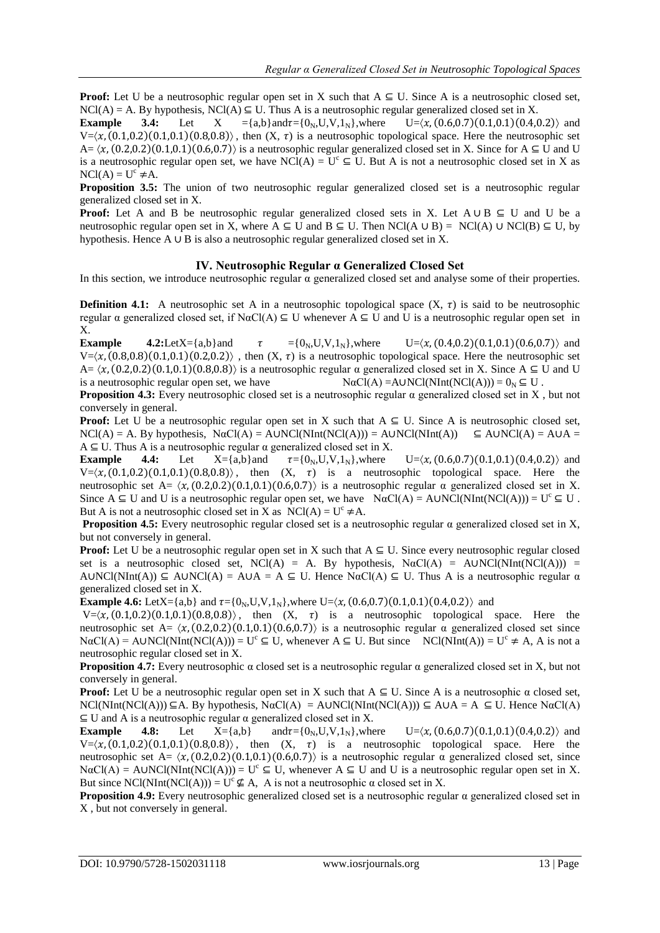**Proof:** Let U be a neutrosophic regular open set in X such that  $A \subseteq U$ . Since A is a neutrosophic closed set,  $NCI(A) = A$ . By hypothesis,  $NCI(A) \subseteq U$ . Thus A is a neutrosophic regular generalized closed set in X.

**Example** 3.4: Let X ={a,b}and $\tau$ ={0<sub>N</sub>,U,V,1<sub>N</sub>},where U= $\langle x, (0.6, 0.7)(0.1, 0.1)(0.4, 0.2) \rangle$  and  $V=(x, (0.1, 0.2), (0.1, 0.1), (0.8, 0.8))$ , then  $(X, \tau)$  is a neutrosophic topological space. Here the neutrosophic set  $A = \langle x, (0.2, 0.2), (0.1, 0.1), (0.6, 0.7) \rangle$  is a neutrosophic regular generalized closed set in X. Since for  $A \subseteq U$  and U is a neutrosophic regular open set, we have NCl(A) =  $U^c \subseteq U$ . But A is not a neutrosophic closed set in X as  $NCI(A) = U^c \neq A$ .

**Proposition 3.5:** The union of two neutrosophic regular generalized closed set is a neutrosophic regular generalized closed set in X.

Proof: Let A and B be neutrosophic regular generalized closed sets in X. Let A ∪ B  $\subseteq$  U and U be a neutrosophic regular open set in X, where A  $\subseteq$  U and B  $\subseteq$  U. Then NCl(A ∪ B) = NCl(A) ∪ NCl(B)  $\subseteq$  U, by hypothesis. Hence A ∪ B is also a neutrosophic regular generalized closed set in X.

#### **IV. Neutrosophic Regular α Generalized Closed Set**

In this section, we introduce neutrosophic regular α generalized closed set and analyse some of their properties.

**Definition 4.1:** A neutrosophic set A in a neutrosophic topological space  $(X, \tau)$  is said to be neutrosophic regular α generalized closed set, if NαCl(A)  $\subseteq$  U whenever A  $\subseteq$  U and U is a neutrosophic regular open set in X.

**Example** 4.2:LetX={a,b}and  $\tau = \{0_N, U, V, 1_N\}$ , where  $U = \langle x, (0.4, 0.2) (0.1, 0.1) (0.6, 0.7) \rangle$  and  $V = (x, (0.8, 0.8), (0.1, 0.1), (0.2, 0.2))$ , then  $(X, \tau)$  is a neutrosophic topological space. Here the neutrosophic set  $A = \langle x, (0.2, 0.2), (0.1, 0.1), (0.8, 0.8) \rangle$  is a neutrosophic regular  $\alpha$  generalized closed set in X. Since A  $\subseteq$  U and U is a neutrosophic regular open set, we have  $N\alpha Cl(A) = A\upsilon NCl(NInt(NCl(A))) = 0_N \subseteq U$ .

**Proposition 4.3:** Every neutrosophic closed set is a neutrosophic regular α generalized closed set in X , but not conversely in general.

**Proof:** Let U be a neutrosophic regular open set in X such that  $A \subseteq U$ . Since A is neutrosophic closed set,  $NCI(A) = A$ . By hypothesis,  $N\alpha Cl(A) = AUNCl(NInt(NCl(A))) = AUNCl(NInt(A)) \subseteq AUNCl(A) = AUA =$  $A \subseteq U$ . Thus A is a neutrosophic regular  $\alpha$  generalized closed set in X.

**Example 4.4:** Let  $X = \{a,b\}$  and  $\tau = \{0_N, U, V, 1_N\}$ , where  $U = \langle x, (0.6, 0.7) (0.1, 0.1) (0.4, 0.2) \rangle$  and  $V=(x,(0.1,0.2)(0.1,0.1)(0.8,0.8))$ , then  $(X, \tau)$  is a neutrosophic topological space. Here the neutrosophic set A=  $\langle x, (0.2, 0.2), (0.1, 0.1), (0.6, 0.7) \rangle$  is a neutrosophic regular  $\alpha$  generalized closed set in X. Since  $A \subseteq U$  and U is a neutrosophic regular open set, we have  $N\alpha Cl(A) = A UNCl(NInt(NCl(A))) = U^c \subseteq U$ . But A is not a neutrosophic closed set in X as  $NCI(A) = U^c \neq A$ .

**Proposition 4.5:** Every neutrosophic regular closed set is a neutrosophic regular α generalized closed set in X, but not conversely in general.

**Proof:** Let U be a neutrosophic regular open set in X such that  $A \subseteq U$ . Since every neutrosophic regular closed set is a neutrosophic closed set, NCl(A) = A. By hypothesis,  $N\alpha Cl(A) = A UNCl(NInt(NCl(A))) =$ A∪NCl(NInt(A))  $\subseteq$  A∪NCl(A) = A∪A = A  $\subseteq$  U. Hence NαCl(A)  $\subseteq$  U. Thus A is a neutrosophic regular  $\alpha$ generalized closed set in X.

**Example 4.6:** Let  $X = \{a,b\}$  and  $\tau = \{0_N, U, V, 1_N\}$ , where  $U = \langle x, (0.6, 0.7), (0.1, 0.1), (0.4, 0.2) \rangle$  and

 $V = \langle x, (0.1, 0.2), (0.1, 0.1), (0.8, 0.8) \rangle$ , then  $(X, \tau)$  is a neutrosophic topological space. Here the neutrosophic set A=  $\langle x, (0.2, 0.2), (0.1, 0.1), (0.6, 0.7) \rangle$  is a neutrosophic regular  $\alpha$  generalized closed set since  $N\alpha Cl(A) = A\text{UNCl}(N\text{Int}(NCI(A))) = U^c \subseteq U$ , whenever  $A \subseteq U$ . But since  $NCl(N\text{Int}(A)) = U^c \neq A$ . A is not a neutrosophic regular closed set in X.

**Proposition 4.7:** Every neutrosophic  $\alpha$  closed set is a neutrosophic regular  $\alpha$  generalized closed set in X, but not conversely in general.

**Proof:** Let U be a neutrosophic regular open set in X such that  $A \subseteq U$ . Since A is a neutrosophic  $\alpha$  closed set,  $NCI(NInt(NCI(A))) \subseteq A$ . By hypothesis,  $N\alpha CI(A) = AUNCI(NInt(NCI(A))) \subseteq A \cup A = A \subseteq U$ . Hence  $N\alpha CI(A)$  $\subseteq$  U and A is a neutrosophic regular  $\alpha$  generalized closed set in X.

**Example 4.8:** Let  $X = \{a,b\}$  and  $\tau = \{0_N, U, V, 1_N\}$ , where  $U = \langle x, (0.6, 0.7), (0.1, 0.1), (0.4, 0.2) \rangle$  and  $V = \langle x, (0.1, 0.2), (0.1, 0.1), (0.8, 0.8) \rangle$ , then  $(X, \tau)$  is a neutrosophic topological space. Here the neutrosophic set A=  $\langle x, (0.2, 0.2), (0.1, 0.1), (0.6, 0.7) \rangle$  is a neutrosophic regular  $\alpha$  generalized closed set, since  $N\alpha Cl(A) = A\cup NCl(NInt(NCl(A))) = U^c \subseteq U$ , whenever  $A \subseteq U$  and U is a neutrosophic regular open set in X. But since NCl(NInt(NCl(A))) =  $U^c \nsubseteq A$ , A is not a neutrosophic  $\alpha$  closed set in X.

**Proposition 4.9:** Every neutrosophic generalized closed set is a neutrosophic regular α generalized closed set in X , but not conversely in general.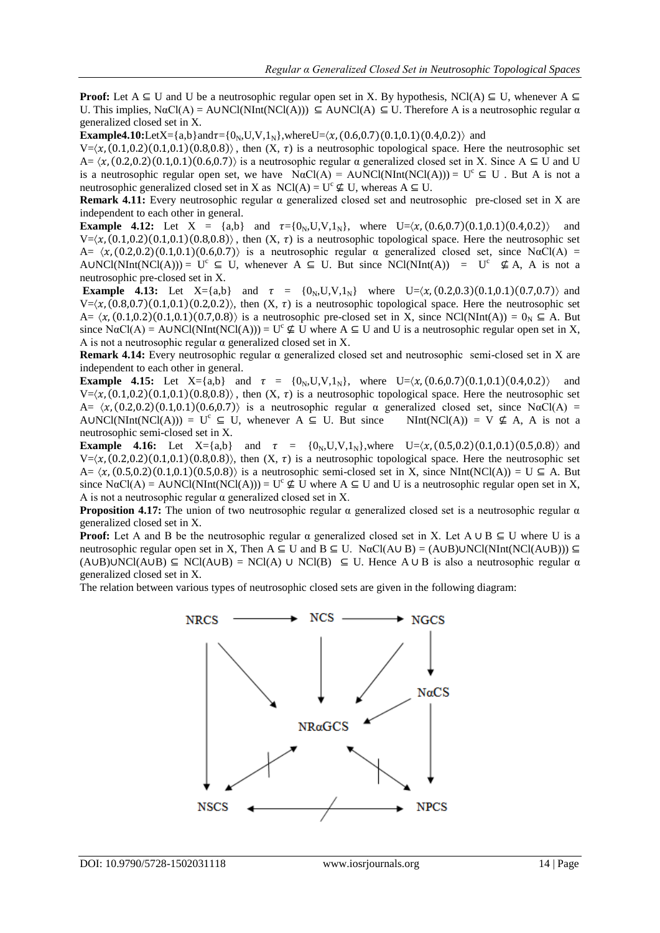**Proof:** Let  $A \subseteq U$  and U be a neutrosophic regular open set in X. By hypothesis, NCl(A)  $\subseteq U$ , whenever  $A \subseteq$ U. This implies,  $N\alphaCl(A) = AUNCl(NInt(NCl(A))) \subseteq AUNCl(A) \subseteq U$ . Therefore A is a neutrosophic regular  $\alpha$ generalized closed set in X.

**Example4.10:**LetX={a,b}and $\tau$ ={0<sub>N</sub>,U,V,1<sub>N</sub>},whereU= $\langle x, (0.6, 0.7)(0.1, 0.1)(0.4, 0.2) \rangle$  and

 $V=\langle x, (0.1,0.2), (0.1,0.1), (0.8,0.8) \rangle$ , then  $(X, \tau)$  is a neutrosophic topological space. Here the neutrosophic set  $A = \langle x, (0.2, 0.2), (0.1, 0.1), (0.6, 0.7) \rangle$  is a neutrosophic regular  $\alpha$  generalized closed set in X. Since  $A \subseteq U$  and U is a neutrosophic regular open set, we have  $N\alpha Cl(A) = AUNCl(NInt(NCl(A))) = U^c \subseteq U$ . But A is not a neutrosophic generalized closed set in X as NCl(A) =  $U^c \nsubseteq U$ , whereas A  $\subseteq U$ .

**Remark 4.11:** Every neutrosophic regular α generalized closed set and neutrosophic pre-closed set in X are independent to each other in general.

**Example 4.12:** Let  $X = \{a,b\}$  and  $\tau = \{0_N, U, V, 1_N\}$ , where  $U = \langle x, (0.6, 0.7), (0.1, 0.1), (0.4, 0.2) \rangle$  and  $V=\langle \chi, (0.1,0.2) (0.1,0.1) (0.8,0.8) \rangle$ , then  $(X, \tau)$  is a neutrosophic topological space. Here the neutrosophic set  $A = (x, (0.2.0.2)(0.1.0.1)(0.6.0.7))$  is a neutrosophic regular  $\alpha$  generalized closed set, since N $\alpha$ Cl(A) = AUNCl(NInt(NCl(A))) =  $U^c \subseteq U$ , whenever  $A \subseteq U$ . But since NCl(NInt(A)) =  $U^c \nsubseteq A$ , A is not a neutrosophic pre-closed set in X.

**Example 4.13:** Let  $X = \{a,b\}$  and  $\tau = \{0_N, U, V, 1_N\}$  where  $U = \langle x, (0.2, 0.3), (0.1, 0.1), (0.7, 0.7) \rangle$  and  $V=(x, (0.8,0.7) (0.1,0.1) (0.2,0.2))$ , then  $(X, \tau)$  is a neutrosophic topological space. Here the neutrosophic set A=  $\langle x, (0.1, 0.2) (0.1, 0.1) (0.7, 0.8) \rangle$  is a neutrosophic pre-closed set in X, since NCl(NInt(A)) =  $0<sub>N</sub> \subseteq A$ . But since  $N\alpha Cl(A) = AUNCl(NInt(NCl(A))) = U^c \nsubseteq U$  where  $A \subseteq U$  and U is a neutrosophic regular open set in X, A is not a neutrosophic regular α generalized closed set in X.

**Remark 4.14:** Every neutrosophic regular α generalized closed set and neutrosophic semi-closed set in X are independent to each other in general.

**Example 4.15:** Let  $X = \{a,b\}$  and  $\tau = \{0_N, U, V, 1_N\}$ , where  $U = \langle x, (0.6, 0.7), (0.1, 0.1), (0.4, 0.2) \rangle$  and  $V=\langle x, (0.1,0.2), (0.1,0.1), (0.8,0.8) \rangle$ , then  $(X, \tau)$  is a neutrosophic topological space. Here the neutrosophic set  $A = \langle x, (0.2, 0.2), (0.1, 0.1), (0.6, 0.7) \rangle$  is a neutrosophic regular  $\alpha$  generalized closed set, since N $\alpha$ Cl(A) = AUNCl(NInt(NCl(A))) = U<sup>c</sup>  $\subseteq$  U, whenever A  $\subseteq$  U. But since NInt(NCl(A)) = V  $\nsubseteq$  A, A is not a neutrosophic semi-closed set in X.

**Example 4.16:** Let  $X = \{a,b\}$  and  $\tau = \{0_N, U, V, 1_N\}$ , where  $U = \langle \chi, (0.5, 0.2), (0.1, 0.1), (0.5, 0.8) \rangle$  and  $V=\langle x, (0.2,0.2), (0.1,0.1), (0.8,0.8) \rangle$ , then  $(X, \tau)$  is a neutrosophic topological space. Here the neutrosophic set  $A = \langle x, (0.5, 0.2), (0.1, 0.1), (0.5, 0.8) \rangle$  is a neutrosophic semi-closed set in X, since NInt(NCl(A)) = U  $\subseteq$  A. But since  $N\alpha Cl(A) = A UNCl(NInt(NCl(A))) = U^c \nsubseteq U$  where  $A \subseteq U$  and U is a neutrosophic regular open set in X, A is not a neutrosophic regular  $\alpha$  generalized closed set in X.

**Proposition 4.17:** The union of two neutrosophic regular  $\alpha$  generalized closed set is a neutrosophic regular  $\alpha$ generalized closed set in X.

**Proof:** Let A and B be the neutrosophic regular  $\alpha$  generalized closed set in X. Let A ∪ B  $\subseteq$  U where U is a neutrosophic regular open set in X, Then A  $\subseteq$  U and B  $\subseteq$  U. NαCl(A∪ B) = (A∪B)∪NCl(NInt(NCl(A∪B)))  $\subseteq$  $(AUB)$ ∪NCl(A∪B)  $\subseteq$  NCl(A∪B) = NCl(A) ∪ NCl(B)  $\subseteq$  U. Hence A ∪ B is also a neutrosophic regular  $\alpha$ generalized closed set in X.

The relation between various types of neutrosophic closed sets are given in the following diagram:

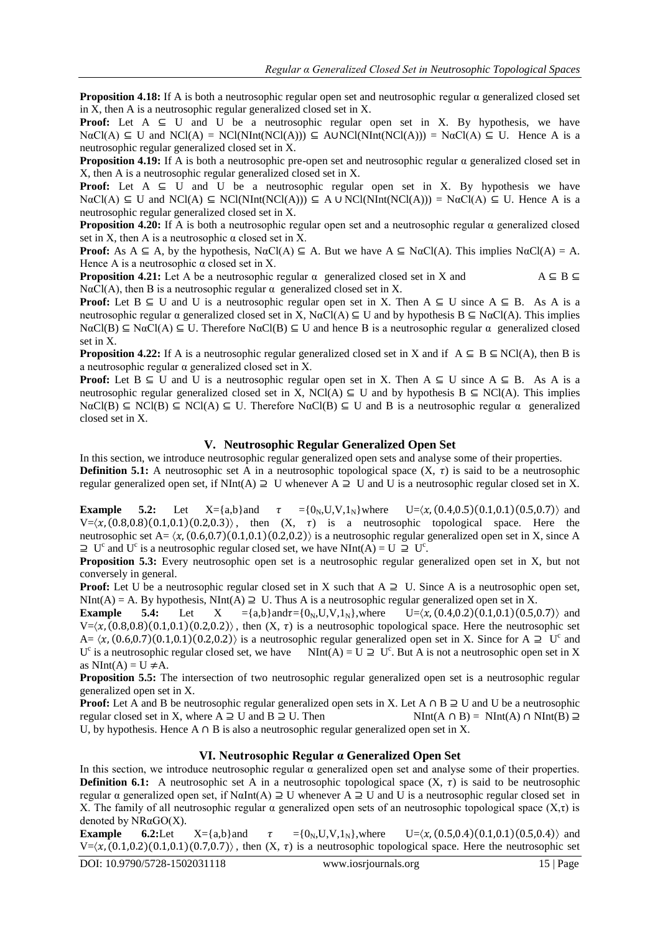**Proposition 4.18:** If A is both a neutrosophic regular open set and neutrosophic regular α generalized closed set in X, then A is a neutrosophic regular generalized closed set in X.

**Proof:** Let  $A \subseteq U$  and  $U$  be a neutrosophic regular open set in X. By hypothesis, we have  $N\alphaCl(A) \subseteq U$  and  $NCI(A) = NCI(NInt(NCl(A))) \subseteq A\cup NCI(NInt(NCl(A))) = N\alphaCl(A) \subseteq U$ . Hence A is a neutrosophic regular generalized closed set in X.

**Proposition 4.19:** If A is both a neutrosophic pre-open set and neutrosophic regular α generalized closed set in X, then A is a neutrosophic regular generalized closed set in X.

**Proof:** Let  $A \subseteq U$  and U be a neutrosophic regular open set in X. By hypothesis we have  $\text{NaCl}(A) \subseteq U$  and  $\text{NCl}(A) \subseteq \text{NCl}(\text{NInt}(\text{NCI}(A))) \subseteq A \cup \text{NCl}(\text{NInt}(\text{NCI}(A))) = \text{NaCl}(A) \subseteq U$ . Hence A is a neutrosophic regular generalized closed set in X.

**Proposition 4.20:** If A is both a neutrosophic regular open set and a neutrosophic regular α generalized closed set in X, then A is a neutrosophic  $\alpha$  closed set in X.

**Proof:** As  $A \subseteq A$ , by the hypothesis,  $N\alpha Cl(A) \subseteq A$ . But we have  $A \subseteq N\alpha Cl(A)$ . This implies  $N\alpha Cl(A) = A$ . Hence A is a neutrosophic  $\alpha$  closed set in X.

**Proposition 4.21:** Let A be a neutrosophic regular  $\alpha$  generalized closed set in X and  $A \subseteq B \subseteq$ NαCl(A), then B is a neutrosophic regular  $\alpha$  generalized closed set in X.

**Proof:** Let  $B \subseteq U$  and U is a neutrosophic regular open set in X. Then  $A \subseteq U$  since  $A \subseteq B$ . As A is a neutrosophic regular  $\alpha$  generalized closed set in X, N $\alpha$ Cl(A)  $\subseteq$  U and by hypothesis B  $\subseteq$  N $\alpha$ Cl(A). This implies  $N\alphaCl(B) \subseteq N\alphaCl(A) \subseteq U$ . Therefore  $N\alphaCl(B) \subseteq U$  and hence B is a neutrosophic regular  $\alpha$  generalized closed set in X.

**Proposition 4.22:** If A is a neutrosophic regular generalized closed set in X and if  $A \subseteq B \subseteq NC(A)$ , then B is a neutrosophic regular α generalized closed set in X.

**Proof:** Let  $B \subseteq U$  and U is a neutrosophic regular open set in X. Then  $A \subseteq U$  since  $A \subseteq B$ . As A is a neutrosophic regular generalized closed set in X, NCl(A)  $\subseteq$  U and by hypothesis B  $\subseteq$  NCl(A). This implies  $N\alpha Cl(B) \subseteq NCl(B) \subseteq NCl(A) \subseteq U$ . Therefore  $N\alpha Cl(B) \subseteq U$  and B is a neutrosophic regular  $\alpha$  generalized closed set in X.

# **V. Neutrosophic Regular Generalized Open Set**

In this section, we introduce neutrosophic regular generalized open sets and analyse some of their properties. **Definition 5.1:** A neutrosophic set A in a neutrosophic topological space  $(X, \tau)$  is said to be a neutrosophic regular generalized open set, if NInt(A)  $\supseteq U$  whenever A  $\supseteq U$  and U is a neutrosophic regular closed set in X.

**Example 5.2:** Let  $X = \{a,b\}$  and  $\tau = \{0_N, U, V, 1_N\}$  where  $U = \langle x, (0.4, 0.5), (0.1, 0.1), (0.5, 0.7) \rangle$  and  $V = \langle x, (0.8, 0.8), (0.1, 0.1), (0.2, 0.3) \rangle$ , then  $(X, \tau)$  is a neutrosophic topological space. Here the neutrosophic set  $A = \langle x, (0.6, 0.7), (0.1, 0.1), (0.2, 0.2) \rangle$  is a neutrosophic regular generalized open set in X, since A  $\supseteq U^c$  and U<sup>c</sup> is a neutrosophic regular closed set, we have NInt(A) = U  $\supseteq U^c$ .

**Proposition 5.3:** Every neutrosophic open set is a neutrosophic regular generalized open set in X, but not conversely in general.

**Proof:** Let U be a neutrosophic regular closed set in X such that  $A \supseteqcup$ . Since A is a neutrosophic open set,  $NInt(A) = A$ . By hypothesis,  $NInt(A) \supseteq U$ . Thus A is a neutrosophic regular generalized open set in X.

**Example 5.4:** Let  $X = \{a,b\}$  and  $\tau = \{0, U, V, 1, V\}$ , where  $U = \langle x, (0,4,0,2) (0,1,0,1) (0,5,0,7) \rangle$  and  $V=(x, (0.8,0.8), (0.1,0.1), (0.2,0.2))$ , then  $(X, \tau)$  is a neutrosophic topological space. Here the neutrosophic set A=  $\langle x, (0.6, 0.7), (0.1, 0.1), (0.2, 0.2) \rangle$  is a neutrosophic regular generalized open set in X. Since for A  $\supseteq U^c$  and U<sup>c</sup> is a neutrosophic regular closed set, we have NInt(A) = U  $\supseteq U^c$ . But A is not a neutrosophic open set in X as  $NInt(A) = U \neq A$ .

**Proposition 5.5:** The intersection of two neutrosophic regular generalized open set is a neutrosophic regular generalized open set in X.

**Proof:** Let A and B be neutrosophic regular generalized open sets in X. Let A ∩ B  $\supseteq$  U and U be a neutrosophic regular closed set in X, where A  $\supseteq$  U and B  $\supseteq$  U. Then  $\text{NInt}(A \cap B) = \text{NInt}(A) \cap \text{NInt}(B) \supseteq$ regular closed set in X, where  $A \supseteq U$  and  $B \supseteq U$ . Then U, by hypothesis. Hence A ∩ B is also a neutrosophic regular generalized open set in X.

# **VI. Neutrosophic Regular α Generalized Open Set**

In this section, we introduce neutrosophic regular  $\alpha$  generalized open set and analyse some of their properties. **Definition 6.1:** A neutrosophic set A in a neutrosophic topological space  $(X, \tau)$  is said to be neutrosophic regular α generalized open set, if  $N\alpha Int(A) \supseteq U$  whenever  $A \supseteq U$  and U is a neutrosophic regular closed set in X. The family of all neutrosophic regular  $\alpha$  generalized open sets of an neutrosophic topological space  $(X,\tau)$  is denoted by NRαGO(X).

**Example 6.2:**Let  $X = \{a,b\}$  and  $\tau = \{0_N, U, V, 1_N\}$ , where  $U = \langle x, (0.5, 0.4), (0.1, 0.1), (0.5, 0.4) \rangle$  and  $V=\langle x, (0.1, 0.2), (0.1, 0.1), (0.7, 0.7) \rangle$ , then  $(X, \tau)$  is a neutrosophic topological space. Here the neutrosophic set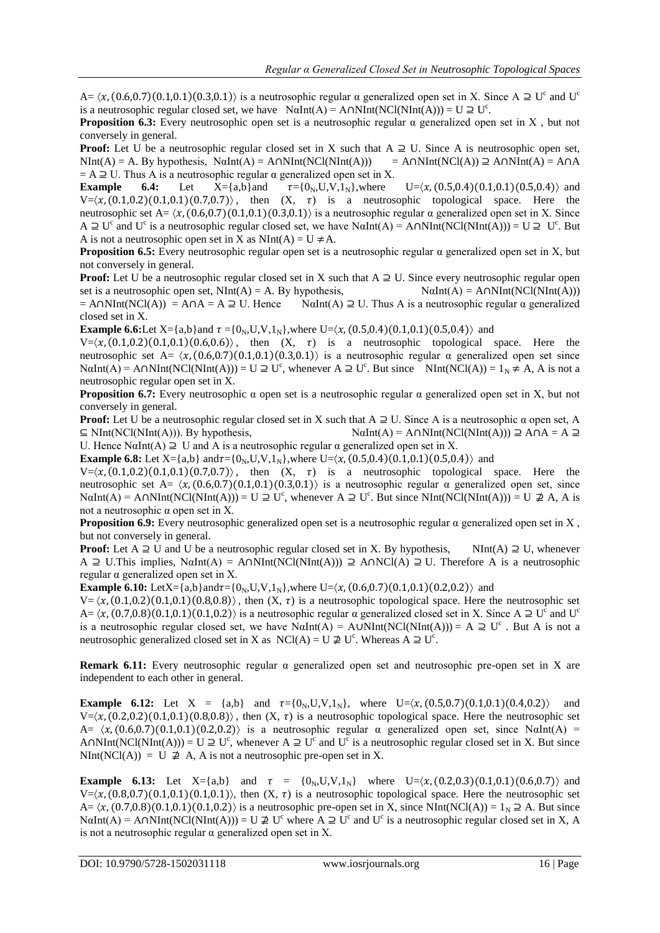$A = \langle x, (0.6, 0.7), (0.1, 0.1), (0.3, 0.1) \rangle$  is a neutrosophic regular  $\alpha$  generalized open set in X. Since  $A \supseteq U^c$  and  $U^c$ is a neutrosophic regular closed set, we have  $N\alpha Int(A) = A\cap NInt(NCl(NInt(A))) = U \supseteq U^c$ .

**Proposition 6.3:** Every neutrosophic open set is a neutrosophic regular  $\alpha$  generalized open set in X, but not conversely in general.

**Proof:** Let U be a neutrosophic regular closed set in X such that  $A \supseteq U$ . Since A is neutrosophic open set,  $NInt(A) = A$ . By hypothesis,  $N\alpha Int(A) = A \cap NInt(NCl(NInt(A)))$  = A $\cap NInt(NCl(A)) \supseteq A \cap NInt(A) = A \cap A$ = A  $\supseteq$  U. Thus A is a neutrosophic regular  $\alpha$  generalized open set in X.<br>**Example** 6.4: Let  $X = \{a,b\}$  and  $\tau = \{0_N, U, V, 1_N\}$ , where

**Example 6.4:** Let  $X = \{a,b\}$  and  $\tau = \{0_N, U, V, 1_N\}$ , where  $U = \langle x, (0.5, 0.4), (0.1, 0.1), (0.5, 0.4) \rangle$  and  $V=(x, (0.1,0.2) (0.1,0.1) (0.7,0.7))$ , then  $(X, \tau)$  is a neutrosophic topological space. Here the neutrosophic set A=  $\langle x, (0.6, 0.7), (0.1, 0.1), (0.3, 0.1) \rangle$  is a neutrosophic regular α generalized open set in X. Since  $A \supseteq U^c$  and  $U^c$  is a neutrosophic regular closed set, we have NαInt(A) = A∩NInt(NCl(NInt(A))) = U  $\supseteq U^c$ . But A is not a neutrosophic open set in X as  $NInt(A) = U \neq A$ .

**Proposition 6.5:** Every neutrosophic regular open set is a neutrosophic regular α generalized open set in X, but not conversely in general.

**Proof:** Let U be a neutrosophic regular closed set in X such that  $A \supseteq U$ . Since every neutrosophic regular open set is a neutrosophic open set,  $NInt(A) = A$ . By hypothesis,  $N\alpha Int(A) = A \cap NInt(NCI(NInt(A)))$  $= A \cap NInt(NCl(A)) = A \cap A = A \supseteq U$ . Hence  $N\alpha Int(A) \supseteq U$ . Thus A is a neutrosophic regular  $\alpha$  generalized closed set in X.

**Example 6.6:**Let X={a,b}and  $\tau$  ={0<sub>N</sub>,U,V,1<sub>N</sub>},where U= $\langle x, (0.5,0.4)(0.1,0.1)(0.5,0.4) \rangle$  and

 $V = (x, (0.1, 0.2), (0.1, 0.1), (0.6, 0.6))$ , then  $(X, \tau)$  is a neutrosophic topological space. Here the neutrosophic set A=  $\langle x, (0.6, 0.7), (0.1, 0.1), (0.3, 0.1) \rangle$  is a neutrosophic regular  $\alpha$  generalized open set since  $\text{NaInt}(A) = \text{A}\cap \text{NInt}(\text{NCI}(\text{NInt}(A))) = U \supseteq U^c$ , whenever  $A \supseteq U^c$ . But since  $\text{NInt}(\text{NCI}(A)) = 1_N \neq A$ , A is not a neutrosophic regular open set in X.

**Proposition 6.7:** Every neutrosophic  $\alpha$  open set is a neutrosophic regular  $\alpha$  generalized open set in X, but not conversely in general.

**Proof:** Let U be a neutrosophic regular closed set in X such that A ⊇ U. Since A is a neutrosophic α open set, A  $\subseteq \text{NInt}(\text{NCI}(\text{NInt}(A)))$ . By hypothesis,  $\text{N}\alpha\text{Int}(A) = A \cap \text{NInt}(\text{NCI}(\text{NInt}(A))) \supseteq A \cap A = A \supseteq A$ 

U. Hence NαInt(A)  $\supseteq U$  and A is a neutrosophic regular  $\alpha$  generalized open set in X.

**Example 6.8:** Let  $X = \{a,b\}$  and  $\tau = \{0_N, U, V, 1_N\}$ , where  $U = \langle x, (0.5, 0.4), (0.1, 0.1), (0.5, 0.4) \rangle$  and

 $V=\langle x,(0.1,0.2)(0.1,0.1)(0.7,0.7) \rangle$ , then  $(X, \tau)$  is a neutrosophic topological space. Here the neutrosophic set A=  $\langle x, (0.6, 0.7), (0.1, 0.1), (0.3, 0.1) \rangle$  is a neutrosophic regular  $\alpha$  generalized open set, since  $\text{N}\alpha\text{Int}(A) = A \cap \text{NInt}(\text{NCl}(\text{NInt}(A))) = U \supseteq U^c$ , whenever  $A \supseteq U^c$ . But since  $\text{NInt}(\text{NCl}(\text{NInt}(A))) = U \supseteq A$ , A is not a neutrosophic α open set in X.

**Proposition 6.9:** Every neutrosophic generalized open set is a neutrosophic regular α generalized open set in X , but not conversely in general.

**Proof:** Let  $A \supseteq U$  and U be a neutrosophic regular closed set in X. By hypothesis, NInt(A)  $\supseteq U$ , whenever A ⊇ U.This implies, NαInt(A) = A∩NInt(NCl(NInt(A))) ⊇ A∩NCl(A) ≥ U. Therefore A is a neutrosophic regular α generalized open set in X.

**Example 6.10:** LetX={a,b}and $\tau$ ={0<sub>N</sub>,U,V,1<sub>N</sub>},where U= $\langle x, (0.6, 0.7)(0.1, 0.1)(0.2, 0.2) \rangle$  and

 $V = \langle x, (0.1, 0.2), (0.1, 0.1), (0.8, 0.8) \rangle$ , then  $(X, \tau)$  is a neutrosophic topological space. Here the neutrosophic set  $A = \langle x, (0.7,0.8), (0.1,0.1), (0.1,0.2) \rangle$  is a neutrosophic regular  $\alpha$  generalized closed set in X. Since  $A \supseteq U^c$  and U<sup>c</sup> is a neutrosophic regular closed set, we have  $N\alpha Int(A) = A\cup NInt(NCl(NInt(A))) = A \supseteq U^c$ . But A is not a neutrosophic generalized closed set in X as NCl(A) = U  $\not\supseteq U^c$ . Whereas A  $\supseteq U^c$ .

**Remark 6.11:** Every neutrosophic regular α generalized open set and neutrosophic pre-open set in X are independent to each other in general.

**Example 6.12:** Let X = {a,b} and  $\tau = \{0_N, U, V, 1_N\}$ , where  $U = \langle x, (0.5, 0.7), (0.1, 0.1), (0.4, 0.2) \rangle$  and  $V=\langle x, (0.2,0.2), (0.1,0.1), (0.8,0.8) \rangle$ , then  $(X, \tau)$  is a neutrosophic topological space. Here the neutrosophic set A=  $\langle x, (0.6, 0.7) (0.1, 0.1) (0.2, 0.2) \rangle$  is a neutrosophic regular  $\alpha$  generalized open set, since N $\alpha$ Int(A) = A∩NInt(NCl(NInt(A))) = U  $\supseteq U^c$ , whenever A  $\supseteq U^c$  and U<sup>c</sup> is a neutrosophic regular closed set in X. But since NInt(NCl(A)) = U  $\neq$  A, A is not a neutrosophic pre-open set in X.

**Example 6.13:** Let  $X = \{a,b\}$  and  $\tau = \{0_N, U, V, 1_N\}$  where  $U = \langle \chi, (0.2, 0.3), (0.1, 0.1), (0.6, 0.7) \rangle$  and  $V=\langle \chi, (0.8,0.7) (0.1,0.1) (0.1,0.1) \rangle$ , then  $(X, \tau)$  is a neutrosophic topological space. Here the neutrosophic set  $A = \langle x, (0.7,0.8)(0.1,0.1)(0.1,0.2) \rangle$  is a neutrosophic pre-open set in X, since NInt(NCl(A)) =  $1_N \supseteq A$ . But since  $N\alpha Int(A) = A\cap NInt(NCl(NInt(A))) = U \not\supseteq U^c$  where  $A \supseteq U^c$  and  $U^c$  is a neutrosophic regular closed set in X, A is not a neutrosophic regular  $\alpha$  generalized open set in X.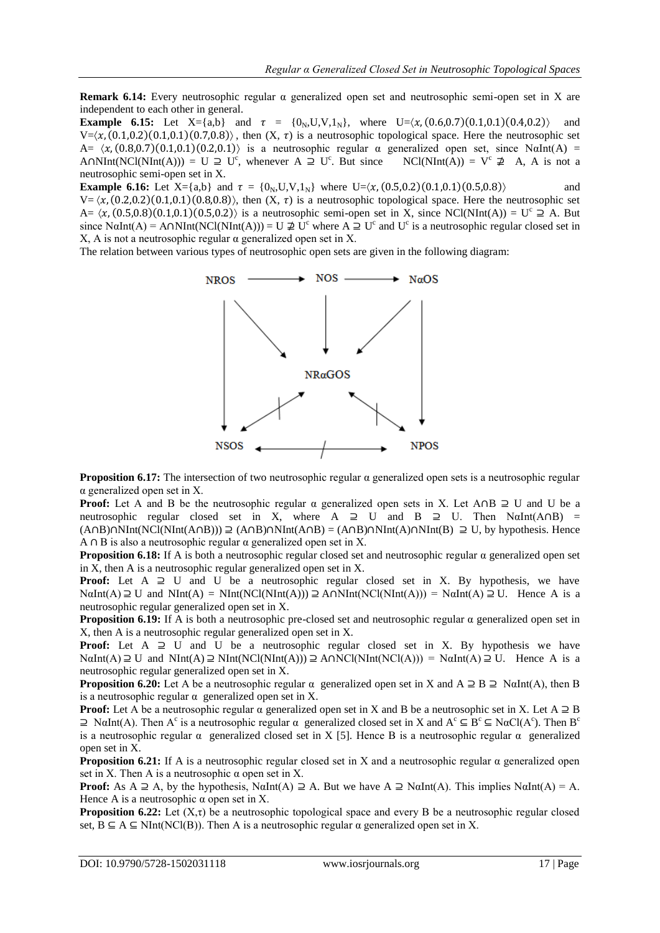**Remark 6.14:** Every neutrosophic regular α generalized open set and neutrosophic semi-open set in X are independent to each other in general.

**Example 6.15:** Let  $X = \{a,b\}$  and  $\tau = \{0_N, U, V, 1_N\}$ , where  $U = \langle \chi, (0.6, 0.7), (0.1, 0.1), (0.4, 0.2) \rangle$  and  $V=\langle x, (0.1,0.2), (0.1,0.1), (0.7,0.8) \rangle$ , then  $(X, \tau)$  is a neutrosophic topological space. Here the neutrosophic set  $A= \langle x, (0.8, 0.7) (0.1, 0.1) (0.2, 0.1) \rangle$  is a neutrosophic regular  $\alpha$  generalized open set, since NαInt(A) = A∩NInt(NCl(NInt(A))) = U  $\supseteq U^c$ , whenever A  $\supseteq U^c$  $NCl(NInt(A)) = V^c \not\supseteq A$ , A is not a neutrosophic semi-open set in X.

**Example 6.16:** Let  $X = \{a,b\}$  and  $\tau = \{0_N, U, V, 1_N\}$  where  $U = \langle x, (0.5, 0.2), (0.1, 0.1), (0.5, 0.8) \rangle$  and  $V = \langle x, (0.2, 0.2), (0.1, 0.1), (0.8, 0.8) \rangle$ , then  $(X, \tau)$  is a neutrosophic topological space. Here the neutrosophic set A=  $\langle x, (0.5,0.8)(0.1,0.1)(0.5,0.2) \rangle$  is a neutrosophic semi-open set in X, since NCl(NInt(A)) = U<sup>c</sup>  $\supseteq$  A. But since N $\alpha$ Int(A) = A $\cap$ NInt(NCl(NInt(A))) = U  $\nexists$  U<sup>c</sup> where A  $\supseteq$  U<sup>c</sup> and U<sup>c</sup> is a neutrosophic regular closed set in X, A is not a neutrosophic regular  $\alpha$  generalized open set in X.

The relation between various types of neutrosophic open sets are given in the following diagram:



**Proposition 6.17:** The intersection of two neutrosophic regular  $\alpha$  generalized open sets is a neutrosophic regular α generalized open set in X.

**Proof:** Let A and B be the neutrosophic regular  $\alpha$  generalized open sets in X. Let A∩B  $\supseteq$  U and U be a neutrosophic regular closed set in X, where A  $\supseteq$  U and B  $\supseteq$  U. Then NαInt(A∩B) =  $(A \cap B) \cap NInt(NCI(NInt(A \cap B))) \supseteq (A \cap B) \cap NInt(A \cap B) = (A \cap B) \cap NInt(A) \cap NInt(B) \supseteq U$ , by hypothesis. Hence A  $\cap$  B is also a neutrosophic regular  $\alpha$  generalized open set in X.

**Proposition 6.18:** If A is both a neutrosophic regular closed set and neutrosophic regular α generalized open set in X, then A is a neutrosophic regular generalized open set in X.

**Proof:** Let  $A \supseteq U$  and U be a neutrosophic regular closed set in X. By hypothesis, we have  $N\alpha Int(A) \supseteq U$  and  $NInt(A) = NInt(NCl(NInt(A))) \supseteq A \cap NInt(NCl(NInt(A))) = N\alpha Int(A) \supseteq U$ . Hence A is a neutrosophic regular generalized open set in X.

**Proposition 6.19:** If A is both a neutrosophic pre-closed set and neutrosophic regular  $\alpha$  generalized open set in X, then A is a neutrosophic regular generalized open set in X.

**Proof:** Let  $A \supseteq U$  and U be a neutrosophic regular closed set in X. By hypothesis we have  $N\alpha Int(A) \supseteq U$  and  $NInt(A) \supseteq NInt(NCl(NInt(A))) \supseteq ANNCl(NInt(NCl(A))) = N\alpha Int(A) \supseteq U$ . Hence A is a neutrosophic regular generalized open set in X.

**Proposition 6.20:** Let A be a neutrosophic regular  $\alpha$  generalized open set in X and A  $\supseteq$  B  $\supseteq$  NaInt(A), then B is a neutrosophic regular  $\alpha$  generalized open set in X.

**Proof:** Let A be a neutrosophic regular  $\alpha$  generalized open set in X and B be a neutrosophic set in X. Let A  $\supseteq$  B  $\supseteq$  NαInt(A). Then A<sup>c</sup> is a neutrosophic regular α generalized closed set in X and A<sup>c</sup> ⊆ B<sup>c</sup> ⊆ NαCl(A<sup>c</sup>). Then B<sup>c</sup> is a neutrosophic regular  $\alpha$  generalized closed set in X [5]. Hence B is a neutrosophic regular  $\alpha$  generalized open set in X.

**Proposition 6.21:** If A is a neutrosophic regular closed set in X and a neutrosophic regular  $\alpha$  generalized open set in X. Then A is a neutrosophic  $\alpha$  open set in X.

**Proof:** As  $A \supseteq A$ , by the hypothesis, NαInt(A)  $\supseteq A$ . But we have  $A \supseteq N\alpha \text{Int}(A)$ . This implies N $\alpha \text{Int}(A) = A$ . Hence A is a neutrosophic  $\alpha$  open set in X.

**Proposition 6.22:** Let  $(X, \tau)$  be a neutrosophic topological space and every B be a neutrosophic regular closed set,  $B \subseteq A \subseteq NInt(NCI(B))$ . Then A is a neutrosophic regular  $\alpha$  generalized open set in X.